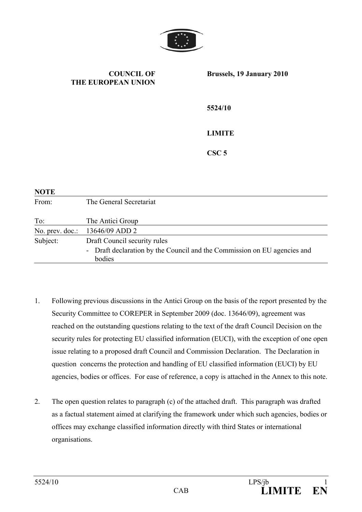

## **COUNCIL OF THE EUROPEAN UNION**

**Brussels, 19 January 2010** 

**5524/10** 

## **LIMITE**

**CSC 5** 

| <b>NOTE</b>     |                                                                                                                    |
|-----------------|--------------------------------------------------------------------------------------------------------------------|
| From:           | The General Secretariat                                                                                            |
| To:             | The Antici Group                                                                                                   |
| No. prev. doc.: | 13646/09 ADD 2                                                                                                     |
| Subject:        | Draft Council security rules<br>- Draft declaration by the Council and the Commission on EU agencies and<br>bodies |

- 1. Following previous discussions in the Antici Group on the basis of the report presented by the Security Committee to COREPER in September 2009 (doc. 13646/09), agreement was reached on the outstanding questions relating to the text of the draft Council Decision on the security rules for protecting EU classified information (EUCI), with the exception of one open issue relating to a proposed draft Council and Commission Declaration. The Declaration in question concerns the protection and handling of EU classified information (EUCI) by EU agencies, bodies or offices. For ease of reference, a copy is attached in the Annex to this note.
- 2. The open question relates to paragraph (c) of the attached draft. This paragraph was drafted as a factual statement aimed at clarifying the framework under which such agencies, bodies or offices may exchange classified information directly with third States or international organisations.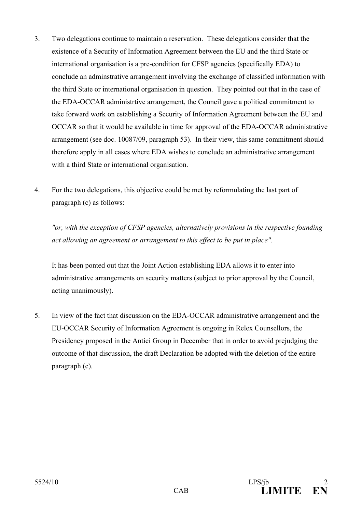- 3. Two delegations continue to maintain a reservation. These delegations consider that the existence of a Security of Information Agreement between the EU and the third State or international organisation is a pre-condition for CFSP agencies (specifically EDA) to conclude an adminstrative arrangement involving the exchange of classified information with the third State or international organisation in question. They pointed out that in the case of the EDA-OCCAR administrtive arrangement, the Council gave a political commitment to take forward work on establishing a Security of Information Agreement between the EU and OCCAR so that it would be available in time for approval of the EDA-OCCAR administrative arrangement (see doc. 10087/09, paragraph 53). In their view, this same commitment should therefore apply in all cases where EDA wishes to conclude an administrative arrangement with a third State or international organisation.
- 4. For the two delegations, this objective could be met by reformulating the last part of paragraph (c) as follows:

*"or, with the exception of CFSP agencies, alternatively provisions in the respective founding act allowing an agreement or arrangement to this effect to be put in place"*.

It has been ponted out that the Joint Action establishing EDA allows it to enter into administrative arrangements on security matters (subject to prior approval by the Council, acting unanimously).

5. In view of the fact that discussion on the EDA-OCCAR administrative arrangement and the EU-OCCAR Security of Information Agreement is ongoing in Relex Counsellors, the Presidency proposed in the Antici Group in December that in order to avoid prejudging the outcome of that discussion, the draft Declaration be adopted with the deletion of the entire paragraph (c).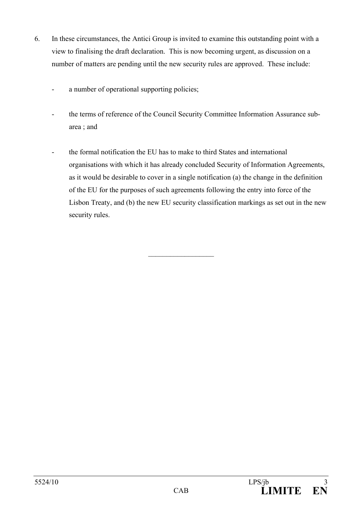- 6. In these circumstances, the Antici Group is invited to examine this outstanding point with a view to finalising the draft declaration. This is now becoming urgent, as discussion on a number of matters are pending until the new security rules are approved. These include:
	- a number of operational supporting policies;
	- the terms of reference of the Council Security Committee Information Assurance subarea ; and
	- the formal notification the EU has to make to third States and international organisations with which it has already concluded Security of Information Agreements, as it would be desirable to cover in a single notification (a) the change in the definition of the EU for the purposes of such agreements following the entry into force of the Lisbon Treaty, and (b) the new EU security classification markings as set out in the new security rules.

 $\overline{\phantom{a}}$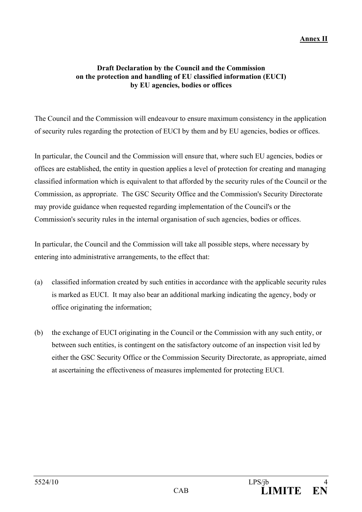## **Annex II**

## **Draft Declaration by the Council and the Commission on the protection and handling of EU classified information (EUCI) by EU agencies, bodies or offices**

The Council and the Commission will endeavour to ensure maximum consistency in the application of security rules regarding the protection of EUCI by them and by EU agencies, bodies or offices.

In particular, the Council and the Commission will ensure that, where such EU agencies, bodies or offices are established, the entity in question applies a level of protection for creating and managing classified information which is equivalent to that afforded by the security rules of the Council or the Commission, as appropriate. The GSC Security Office and the Commission's Security Directorate may provide guidance when requested regarding implementation of the Council's or the Commission's security rules in the internal organisation of such agencies, bodies or offices.

In particular, the Council and the Commission will take all possible steps, where necessary by entering into administrative arrangements, to the effect that:

- (a) classified information created by such entities in accordance with the applicable security rules is marked as EUCI. It may also bear an additional marking indicating the agency, body or office originating the information;
- (b) the exchange of EUCI originating in the Council or the Commission with any such entity, or between such entities, is contingent on the satisfactory outcome of an inspection visit led by either the GSC Security Office or the Commission Security Directorate, as appropriate, aimed at ascertaining the effectiveness of measures implemented for protecting EUCI.